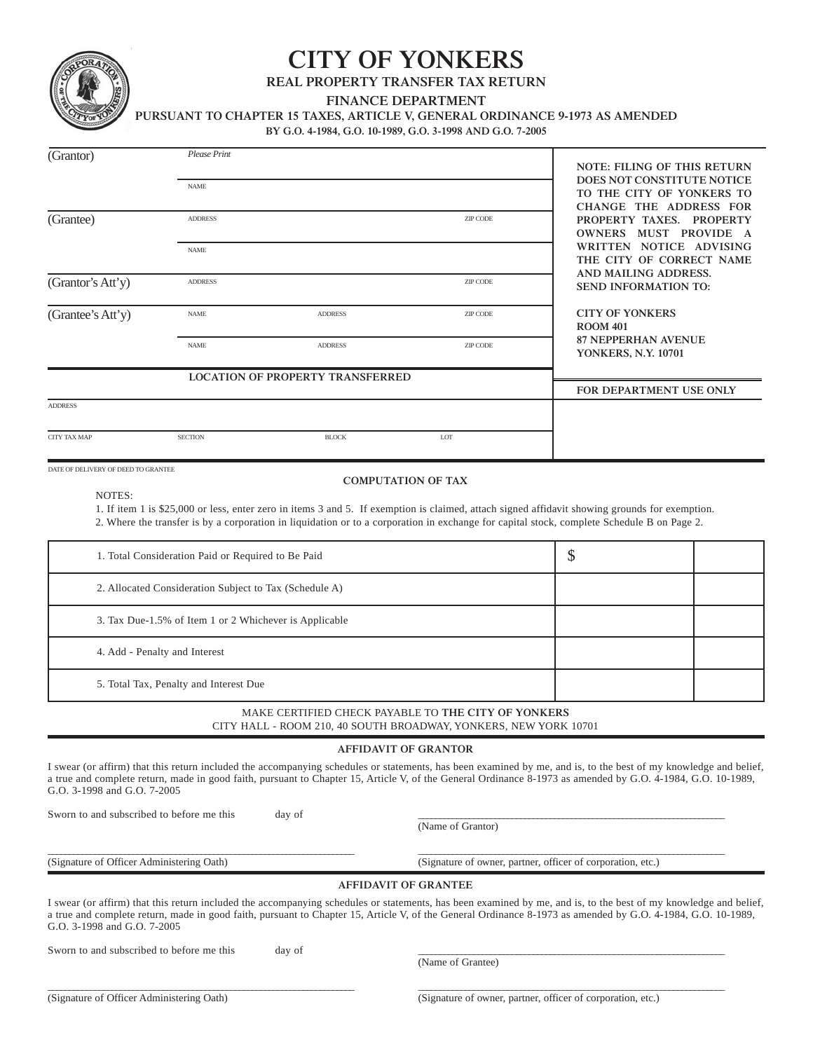

## **CITY OF YONKERS**

**REAL PROPERTY TRANSFER TAX RETURN**

**FINANCE DEPARTMENT**

**PURSUANT TO CHAPTER 15 TAXES, ARTICLE V, GENERAL ORDINANCE 9-1973 AS AMENDED**

**BY G.O. 4-1984, G.O. 10-1989, G.O. 3-1998 AND G.O. 7-2005**

| (G <sub>rantor</sub> )                    | Please Print                                                                                             |                                                                                                                         |                             | <b>NOTE: FILING OF THIS RETURN</b>                          |                                                                                                                                                                                                                                                                                                                                 |                                                                                   |  |  |
|-------------------------------------------|----------------------------------------------------------------------------------------------------------|-------------------------------------------------------------------------------------------------------------------------|-----------------------------|-------------------------------------------------------------|---------------------------------------------------------------------------------------------------------------------------------------------------------------------------------------------------------------------------------------------------------------------------------------------------------------------------------|-----------------------------------------------------------------------------------|--|--|
|                                           | <b>NAME</b>                                                                                              |                                                                                                                         |                             |                                                             |                                                                                                                                                                                                                                                                                                                                 | DOES NOT CONSTITUTE NOTICE<br>TO THE CITY OF YONKERS TO<br>CHANGE THE ADDRESS FOR |  |  |
| (Grantee)                                 | <b>ADDRESS</b>                                                                                           |                                                                                                                         |                             |                                                             | PROPERTY TAXES. PROPERTY<br>OWNERS MUST PROVIDE A                                                                                                                                                                                                                                                                               |                                                                                   |  |  |
|                                           | <b>NAME</b>                                                                                              |                                                                                                                         |                             |                                                             | WRITTEN NOTICE ADVISING<br>THE CITY OF CORRECT NAME                                                                                                                                                                                                                                                                             |                                                                                   |  |  |
| (Grantor's Att'y)                         | <b>ADDRESS</b>                                                                                           |                                                                                                                         |                             | ZIP CODE                                                    | AND MAILING ADDRESS.<br><b>SEND INFORMATION TO:</b>                                                                                                                                                                                                                                                                             |                                                                                   |  |  |
| (Grantee's Att'y)                         | <b>NAME</b><br><b>ADDRESS</b>                                                                            |                                                                                                                         |                             | ZIP CODE                                                    | <b>CITY OF YONKERS</b><br><b>ROOM 401</b>                                                                                                                                                                                                                                                                                       |                                                                                   |  |  |
|                                           | <b>NAME</b>                                                                                              | <b>ADDRESS</b>                                                                                                          |                             | ZIP CODE                                                    |                                                                                                                                                                                                                                                                                                                                 | <b>87 NEPPERHAN AVENUE</b><br>YONKERS, N.Y. 10701                                 |  |  |
|                                           |                                                                                                          | <b>LOCATION OF PROPERTY TRANSFERRED</b>                                                                                 |                             |                                                             | FOR DEPARTMENT USE ONLY                                                                                                                                                                                                                                                                                                         |                                                                                   |  |  |
| <b>ADDRESS</b>                            |                                                                                                          |                                                                                                                         |                             |                                                             |                                                                                                                                                                                                                                                                                                                                 |                                                                                   |  |  |
| <b>CITY TAX MAP</b>                       | <b>SECTION</b>                                                                                           | <b>BLOCK</b>                                                                                                            | LOT                         |                                                             |                                                                                                                                                                                                                                                                                                                                 |                                                                                   |  |  |
| NOTES:                                    |                                                                                                          |                                                                                                                         | <b>COMPUTATION OF TAX</b>   |                                                             | 1. If item 1 is \$25,000 or less, enter zero in items 3 and 5. If exemption is claimed, attach signed affidavit showing grounds for exemption.<br>2. Where the transfer is by a corporation in liquidation or to a corporation in exchange for capital stock, complete Schedule B on Page 2.                                    |                                                                                   |  |  |
|                                           | 1. Total Consideration Paid or Required to Be Paid                                                       |                                                                                                                         |                             |                                                             | \$                                                                                                                                                                                                                                                                                                                              |                                                                                   |  |  |
|                                           | 2. Allocated Consideration Subject to Tax (Schedule A)                                                   |                                                                                                                         |                             |                                                             |                                                                                                                                                                                                                                                                                                                                 |                                                                                   |  |  |
|                                           | 3. Tax Due-1.5% of Item 1 or 2 Whichever is Applicable                                                   |                                                                                                                         |                             |                                                             |                                                                                                                                                                                                                                                                                                                                 |                                                                                   |  |  |
| 4. Add - Penalty and Interest             |                                                                                                          |                                                                                                                         |                             |                                                             |                                                                                                                                                                                                                                                                                                                                 |                                                                                   |  |  |
|                                           | 5. Total Tax, Penalty and Interest Due                                                                   |                                                                                                                         |                             |                                                             |                                                                                                                                                                                                                                                                                                                                 |                                                                                   |  |  |
|                                           |                                                                                                          | MAKE CERTIFIED CHECK PAYABLE TO THE CITY OF YONKERS<br>CITY HALL - ROOM 210, 40 SOUTH BROADWAY, YONKERS, NEW YORK 10701 |                             |                                                             |                                                                                                                                                                                                                                                                                                                                 |                                                                                   |  |  |
|                                           |                                                                                                          |                                                                                                                         | <b>AFFIDAVIT OF GRANTOR</b> |                                                             |                                                                                                                                                                                                                                                                                                                                 |                                                                                   |  |  |
| G.O. 3-1998 and G.O. 7-2005               |                                                                                                          |                                                                                                                         |                             |                                                             | I swear (or affirm) that this return included the accompanying schedules or statements, has been examined by me, and is, to the best of my knowledge and belief,<br>a true and complete return, made in good faith, pursuant to Chapter 15, Article V, of the General Ordinance 8-1973 as amended by G.O. 4-1984, G.O. 10-1989, |                                                                                   |  |  |
| Sworn to and subscribed to before me this |                                                                                                          | day of                                                                                                                  |                             | (Name of Grantor)                                           |                                                                                                                                                                                                                                                                                                                                 |                                                                                   |  |  |
| (Signature of Officer Administering Oath) |                                                                                                          |                                                                                                                         |                             | (Signature of owner, partner, officer of corporation, etc.) |                                                                                                                                                                                                                                                                                                                                 |                                                                                   |  |  |
|                                           |                                                                                                          |                                                                                                                         | <b>AFFIDAVIT OF GRANTEE</b> |                                                             |                                                                                                                                                                                                                                                                                                                                 |                                                                                   |  |  |
| G.O. 3-1998 and G.O. 7-2005               |                                                                                                          |                                                                                                                         |                             |                                                             | I swear (or affirm) that this return included the accompanying schedules or statements, has been examined by me, and is, to the best of my knowledge and belief,<br>a true and complete return, made in good faith, pursuant to Chapter 15, Article V, of the General Ordinance 8-1973 as amended by G.O. 4-1984, G.O. 10-1989, |                                                                                   |  |  |
| Sworn to and subscribed to before me this |                                                                                                          | day of                                                                                                                  |                             | (Name of Grantee)                                           |                                                                                                                                                                                                                                                                                                                                 |                                                                                   |  |  |
|                                           | (Signature of Officer Administering Oath)<br>(Signature of owner, partner, officer of corporation, etc.) |                                                                                                                         |                             |                                                             |                                                                                                                                                                                                                                                                                                                                 |                                                                                   |  |  |